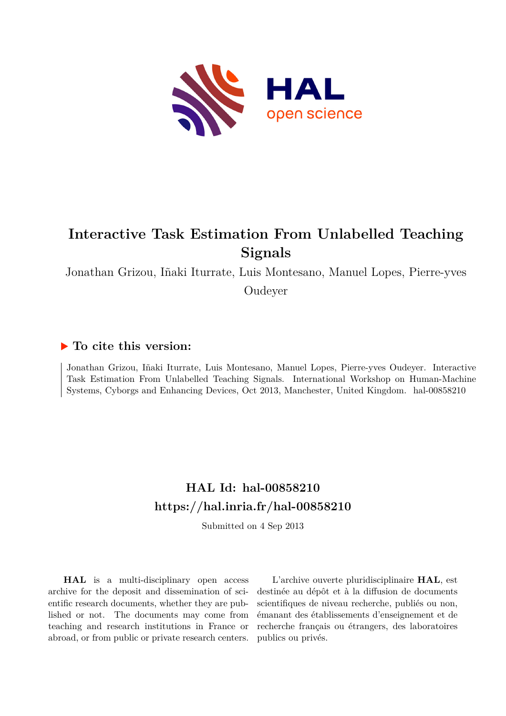

# **Interactive Task Estimation From Unlabelled Teaching Signals**

Jonathan Grizou, Iñaki Iturrate, Luis Montesano, Manuel Lopes, Pierre-yves

Oudeyer

# **To cite this version:**

Jonathan Grizou, Iñaki Iturrate, Luis Montesano, Manuel Lopes, Pierre-yves Oudeyer. Interactive Task Estimation From Unlabelled Teaching Signals. International Workshop on Human-Machine Systems, Cyborgs and Enhancing Devices, Oct 2013, Manchester, United Kingdom. hal-00858210

# **HAL Id: hal-00858210 <https://hal.inria.fr/hal-00858210>**

Submitted on 4 Sep 2013

**HAL** is a multi-disciplinary open access archive for the deposit and dissemination of scientific research documents, whether they are published or not. The documents may come from teaching and research institutions in France or abroad, or from public or private research centers.

L'archive ouverte pluridisciplinaire **HAL**, est destinée au dépôt et à la diffusion de documents scientifiques de niveau recherche, publiés ou non, émanant des établissements d'enseignement et de recherche français ou étrangers, des laboratoires publics ou privés.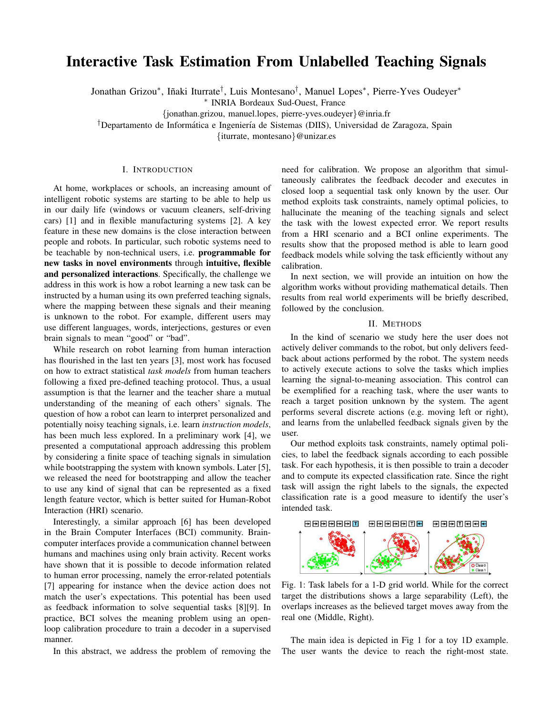# Interactive Task Estimation From Unlabelled Teaching Signals

Jonathan Grizou\*, Iñaki Iturrate<sup>†</sup>, Luis Montesano<sup>†</sup>, Manuel Lopes\*, Pierre-Yves Oudeyer\*

∗ INRIA Bordeaux Sud-Ouest, France

{jonathan.grizou, manuel.lopes, pierre-yves.oudeyer}@inria.fr

<sup>†</sup>Departamento de Informática e Ingeniería de Sistemas (DIIS), Universidad de Zaragoza, Spain

{iturrate, montesano}@unizar.es

## I. INTRODUCTION

At home, workplaces or schools, an increasing amount of intelligent robotic systems are starting to be able to help us in our daily life (windows or vacuum cleaners, self-driving cars) [1] and in flexible manufacturing systems [2]. A key feature in these new domains is the close interaction between people and robots. In particular, such robotic systems need to be teachable by non-technical users, i.e. programmable for new tasks in novel environments through intuitive, flexible and personalized interactions. Specifically, the challenge we address in this work is how a robot learning a new task can be instructed by a human using its own preferred teaching signals, where the mapping between these signals and their meaning is unknown to the robot. For example, different users may use different languages, words, interjections, gestures or even brain signals to mean "good" or "bad".

While research on robot learning from human interaction has flourished in the last ten years [3], most work has focused on how to extract statistical *task models* from human teachers following a fixed pre-defined teaching protocol. Thus, a usual assumption is that the learner and the teacher share a mutual understanding of the meaning of each others' signals. The question of how a robot can learn to interpret personalized and potentially noisy teaching signals, i.e. learn *instruction models*, has been much less explored. In a preliminary work [4], we presented a computational approach addressing this problem by considering a finite space of teaching signals in simulation while bootstrapping the system with known symbols. Later [5], we released the need for bootstrapping and allow the teacher to use any kind of signal that can be represented as a fixed length feature vector, which is better suited for Human-Robot Interaction (HRI) scenario.

Interestingly, a similar approach [6] has been developed in the Brain Computer Interfaces (BCI) community. Braincomputer interfaces provide a communication channel between humans and machines using only brain activity. Recent works have shown that it is possible to decode information related to human error processing, namely the error-related potentials [7] appearing for instance when the device action does not match the user's expectations. This potential has been used as feedback information to solve sequential tasks [8][9]. In practice, BCI solves the meaning problem using an openloop calibration procedure to train a decoder in a supervised manner.

In this abstract, we address the problem of removing the

need for calibration. We propose an algorithm that simultaneously calibrates the feedback decoder and executes in closed loop a sequential task only known by the user. Our method exploits task constraints, namely optimal policies, to hallucinate the meaning of the teaching signals and select the task with the lowest expected error. We report results from a HRI scenario and a BCI online experiments. The results show that the proposed method is able to learn good feedback models while solving the task efficiently without any calibration.

In next section, we will provide an intuition on how the algorithm works without providing mathematical details. Then results from real world experiments will be briefly described, followed by the conclusion.

### II. METHODS

In the kind of scenario we study here the user does not actively deliver commands to the robot, but only delivers feedback about actions performed by the robot. The system needs to actively execute actions to solve the tasks which implies learning the signal-to-meaning association. This control can be exemplified for a reaching task, where the user wants to reach a target position unknown by the system. The agent performs several discrete actions (e.g. moving left or right), and learns from the unlabelled feedback signals given by the user.

Our method exploits task constraints, namely optimal policies, to label the feedback signals according to each possible task. For each hypothesis, it is then possible to train a decoder and to compute its expected classification rate. Since the right task will assign the right labels to the signals, the expected classification rate is a good measure to identify the user's intended task.



Fig. 1: Task labels for a 1-D grid world. While for the correct target the distributions shows a large separability (Left), the overlaps increases as the believed target moves away from the real one (Middle, Right).

The main idea is depicted in Fig 1 for a toy 1D example. The user wants the device to reach the right-most state.